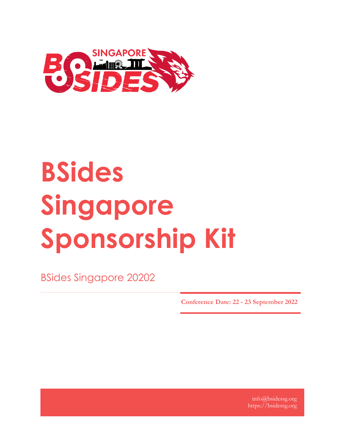

# **BSides Singapore Sponsorship Kit**

BSides Singapore 20202

**Conference Date: 22 - 23 September 2022**

info@bsidessg.org https://bsidessg.org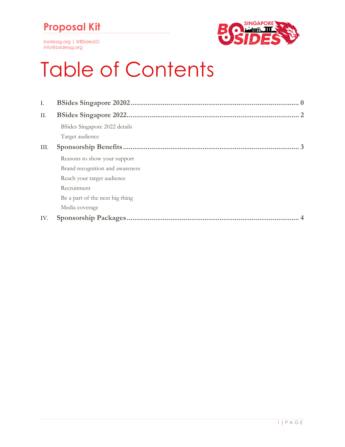## **Proposal Kit**

bsidessg.org | @BSidesSG info@bsidessg.org



## Table of Contents

| Ι.   |                                 |
|------|---------------------------------|
| П.   |                                 |
|      | BSides Singapore 2022 details   |
|      | Target audience                 |
| III. |                                 |
|      | Reasons to show your support    |
|      | Brand recognition and awareness |
|      | Reach your target audience      |
|      | Recruitment                     |
|      | Be a part of the next big thing |
|      | Media coverage                  |
| IV.  |                                 |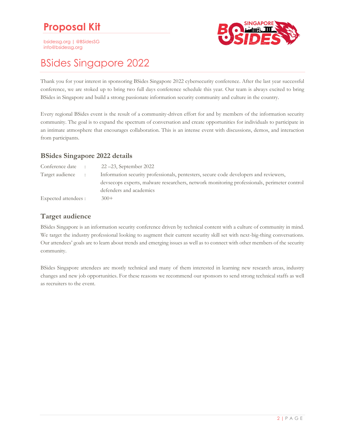## **Proposal Kit**

bsidessg.org | @BSidesSG info@bsidessg.org



### <span id="page-2-0"></span>BSides Singapore 2022

Thank you for your interest in sponsoring BSides Singapore 2022 cybersecurity conference. After the last year successful conference, we are stoked up to bring two full days conference schedule this year. Our team is always excited to bring BSides in Singapore and build a strong passionate information security community and culture in the country.

Every regional BSides event is the result of a community-driven effort for and by members of the information security community. The goal is to expand the spectrum of conversation and create opportunities for individuals to participate in an intimate atmosphere that encourages collaboration. This is an intense event with discussions, demos, and interaction from participants.

#### <span id="page-2-1"></span>**BSides Singapore 2022 details**

| Conference date :    |  | $22 - 23$ , September 2022                                                                  |
|----------------------|--|---------------------------------------------------------------------------------------------|
| Target audience :    |  | Information security professionals, pentesters, secure code developers and reviewers,       |
|                      |  | devsecops experts, malware researchers, network monitoring professionals, perimeter control |
|                      |  | defenders and academics                                                                     |
| Expected attendees : |  | $300+$                                                                                      |

#### <span id="page-2-2"></span>**Target audience**

BSides Singapore is an information security conference driven by technical content with a culture of community in mind. We target the industry professional looking to augment their current security skill set with next-big-thing conversations. Our attendees' goals are to learn about trends and emerging issues as well as to connect with other members of the security community.

BSides Singapore attendees are mostly technical and many of them interested in learning new research areas, industry changes and new job opportunities. For these reasons we recommend our sponsors to send strong technical staffs as well as recruiters to the event.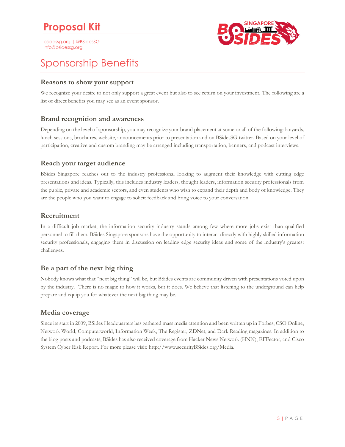bsidessg.org | @BSidesSG info@bsidessg.org



## <span id="page-3-0"></span>Sponsorship Benefits

#### <span id="page-3-1"></span>**Reasons to show your support**

We recognize your desire to not only support a great event but also to see return on your investment. The following are a list of direct benefits you may see as an event sponsor.

#### <span id="page-3-2"></span>**Brand recognition and awareness**

Depending on the level of sponsorship, you may recognize your brand placement at some or all of the following: lanyards, lunch sessions, brochures, website, announcements prior to presentation and on BSidesSG twitter. Based on your level of participation, creative and custom branding may be arranged including transportation, banners, and podcast interviews.

#### <span id="page-3-3"></span>**Reach your target audience**

BSides Singapore reaches out to the industry professional looking to augment their knowledge with cutting edge presentations and ideas. Typically, this includes industry leaders, thought leaders, information security professionals from the public, private and academic sectors, and even students who wish to expand their depth and body of knowledge. They are the people who you want to engage to solicit feedback and bring voice to your conversation.

#### <span id="page-3-4"></span>**Recruitment**

In a difficult job market, the information security industry stands among few where more jobs exist than qualified personnel to fill them. BSides Singapore sponsors have the opportunity to interact directly with highly skilled information security professionals, engaging them in discussion on leading edge security ideas and some of the industry's greatest challenges.

#### <span id="page-3-5"></span>**Be a part of the next big thing**

Nobody knows what that "next big thing" will be, but BSides events are community driven with presentations voted upon by the industry. There is no magic to how it works, but it does. We believe that listening to the underground can help prepare and equip you for whatever the next big thing may be.

#### <span id="page-3-6"></span>**Media coverage**

Since its start in 2009, BSides Headquarters has gathered mass media attention and been written up in Forbes, CSO Online, Network World, Computerworld, Information Week, The Register, ZDNet, and Dark Reading magazines. In addition to the blog posts and podcasts, BSides has also received coverage from Hacker News Network (HNN), EFFector, and Cisco System Cyber Risk Report. For more please visit: http://www.securityBSides.org/Media.